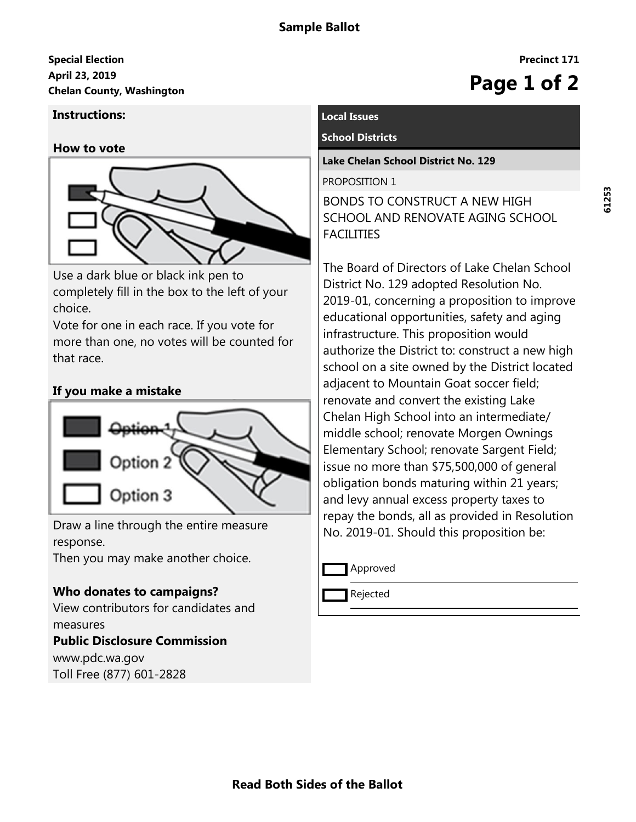# **April 23, 2019 Special Election** April 25, 2019<br>Chelan County, Washington<br> **Chelan County, Washington**

#### **Instructions:**

#### **How to vote**



Use a dark blue or black ink pen to completely fill in the box to the left of your choice.

Vote for one in each race. If you vote for more than one, no votes will be counted for that race.

# **If you make a mistake**



Draw a line through the entire measure response.

Then you may make another choice.

# **Who donates to campaigns?**

View contributors for candidates and measures **Public Disclosure Commission**

www.pdc.wa.gov Toll Free (877) 601-2828

## **Local Issues**

#### **School Districts**

**Lake Chelan School District No. 129**

PROPOSITION 1

BONDS TO CONSTRUCT A NEW HIGH SCHOOL AND RENOVATE AGING SCHOOL FACILITIES

The Board of Directors of Lake Chelan School District No. 129 adopted Resolution No. 2019-01, concerning a proposition to improve educational opportunities, safety and aging infrastructure. This proposition would authorize the District to: construct a new high school on a site owned by the District located adjacent to Mountain Goat soccer field; renovate and convert the existing Lake Chelan High School into an intermediate/ middle school; renovate Morgen Ownings Elementary School; renovate Sargent Field; issue no more than \$75,500,000 of general obligation bonds maturing within 21 years; and levy annual excess property taxes to repay the bonds, all as provided in Resolution No. 2019-01. Should this proposition be:

Approved

Rejected

**Precinct 171**